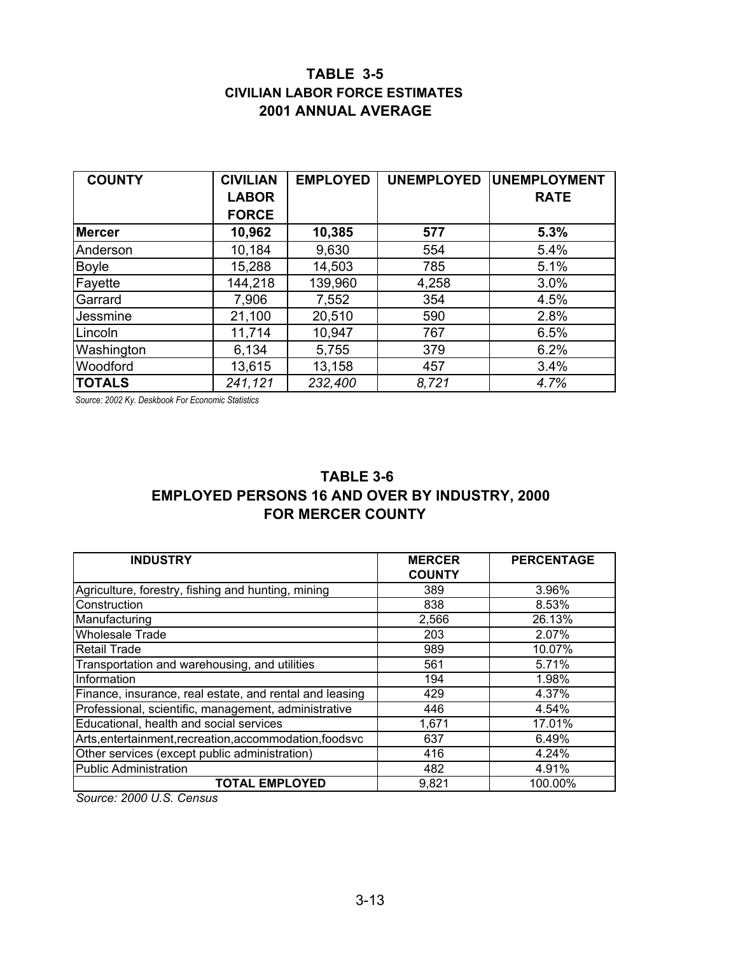## **TABLE 3-5 CIVILIAN LABOR FORCE ESTIMATES 2001 ANNUAL AVERAGE**

| <b>COUNTY</b> | <b>CIVILIAN</b> | <b>EMPLOYED</b> | <b>UNEMPLOYED</b> | <b>UNEMPLOYMENT</b> |
|---------------|-----------------|-----------------|-------------------|---------------------|
|               | <b>LABOR</b>    |                 |                   | <b>RATE</b>         |
|               | <b>FORCE</b>    |                 |                   |                     |
| <b>Mercer</b> | 10,962          | 10,385          | 577               | 5.3%                |
| Anderson      | 10,184          | 9,630           | 554               | 5.4%                |
| <b>Boyle</b>  | 15,288          | 14,503          | 785               | 5.1%                |
| Fayette       | 144,218         | 139,960         | 4,258             | 3.0%                |
| Garrard       | 7,906           | 7,552           | 354               | 4.5%                |
| Jessmine      | 21,100          | 20,510          | 590               | 2.8%                |
| Lincoln       | 11,714          | 10,947          | 767               | 6.5%                |
| Washington    | 6,134           | 5,755           | 379               | 6.2%                |
| Woodford      | 13,615          | 13,158          | 457               | 3.4%                |
| <b>TOTALS</b> | 241,121         | 232,400         | 8.721             | 4.7%                |

*Source: 2002 Ky. Deskbook For Economic Statistics* 

## **TABLE 3-6 FOR MERCER COUNTY EMPLOYED PERSONS 16 AND OVER BY INDUSTRY, 2000**

| <b>INDUSTRY</b>                                         | <b>MERCER</b><br><b>COUNTY</b> | <b>PERCENTAGE</b> |
|---------------------------------------------------------|--------------------------------|-------------------|
| Agriculture, forestry, fishing and hunting, mining      | 389                            | 3.96%             |
| Construction                                            | 838                            | 8.53%             |
| Manufacturing                                           | 2,566                          | 26.13%            |
| <b>Wholesale Trade</b>                                  | 203                            | 2.07%             |
| <b>Retail Trade</b>                                     | 989                            | 10.07%            |
| Transportation and warehousing, and utilities           | 561                            | 5.71%             |
| Information                                             | 194                            | 1.98%             |
| Finance, insurance, real estate, and rental and leasing | 429                            | 4.37%             |
| Professional, scientific, management, administrative    | 446                            | 4.54%             |
| Educational, health and social services                 | 1,671                          | 17.01%            |
| Arts, entertainment, recreation, accommodation, foodsvc | 637                            | 6.49%             |
| Other services (except public administration)           | 416                            | 4.24%             |
| <b>Public Administration</b>                            | 482                            | 4.91%             |
| <b>TOTAL EMPLOYED</b>                                   | 9,821                          | 100.00%           |

*Source: 2000 U.S. Census*